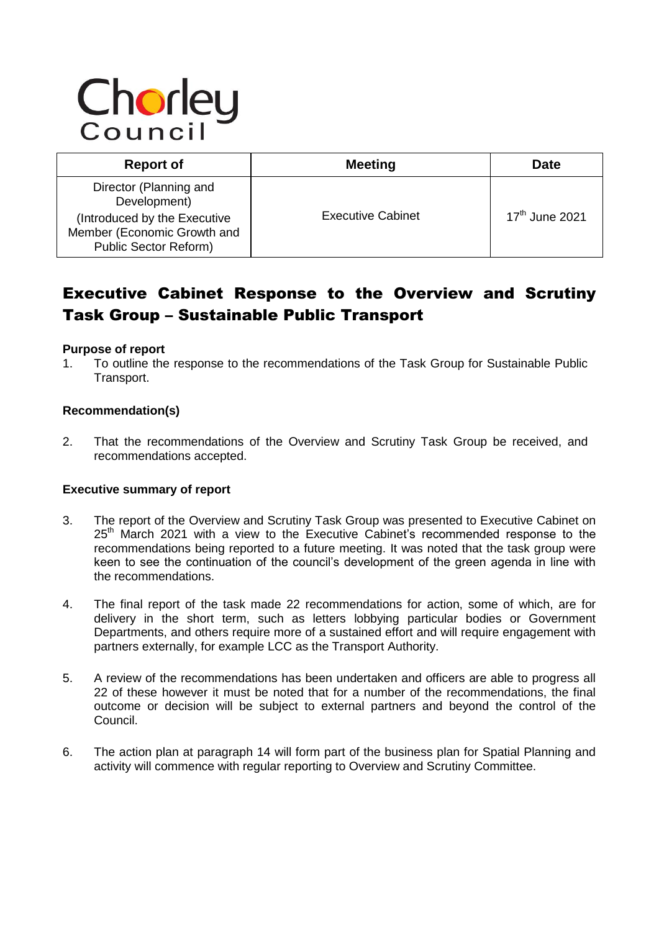# Chorley

| <b>Report of</b>                                                                                                                      | <b>Meeting</b>           | Date                       |
|---------------------------------------------------------------------------------------------------------------------------------------|--------------------------|----------------------------|
| Director (Planning and<br>Development)<br>(Introduced by the Executive<br>Member (Economic Growth and<br><b>Public Sector Reform)</b> | <b>Executive Cabinet</b> | 17 <sup>th</sup> June 2021 |

# Executive Cabinet Response to the Overview and Scrutiny Task Group – Sustainable Public Transport

#### **Purpose of report**

1. To outline the response to the recommendations of the Task Group for Sustainable Public Transport.

#### **Recommendation(s)**

2. That the recommendations of the Overview and Scrutiny Task Group be received, and recommendations accepted.

#### **Executive summary of report**

- 3. The report of the Overview and Scrutiny Task Group was presented to Executive Cabinet on 25<sup>th</sup> March 2021 with a view to the Executive Cabinet's recommended response to the recommendations being reported to a future meeting. It was noted that the task group were keen to see the continuation of the council's development of the green agenda in line with the recommendations.
- 4. The final report of the task made 22 recommendations for action, some of which, are for delivery in the short term, such as letters lobbying particular bodies or Government Departments, and others require more of a sustained effort and will require engagement with partners externally, for example LCC as the Transport Authority.
- 5. A review of the recommendations has been undertaken and officers are able to progress all 22 of these however it must be noted that for a number of the recommendations, the final outcome or decision will be subject to external partners and beyond the control of the Council.
- 6. The action plan at paragraph 14 will form part of the business plan for Spatial Planning and activity will commence with regular reporting to Overview and Scrutiny Committee.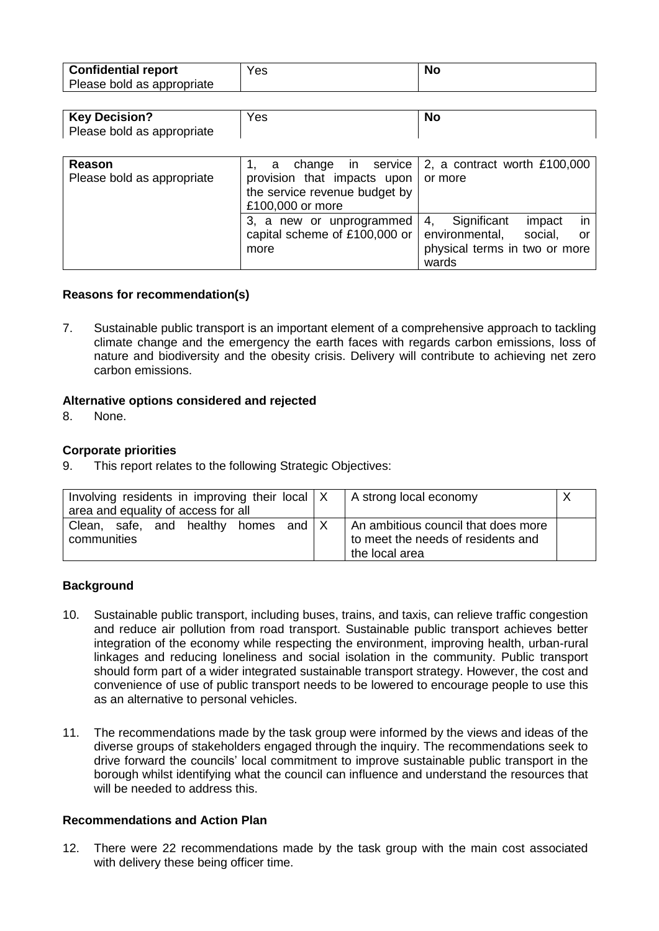| <b>Confidential report</b> | Yes | No |
|----------------------------|-----|----|
| Please bold as appropriate |     |    |

| <b>Key Decision?</b>       | Yes | No |
|----------------------------|-----|----|
| Please bold as appropriate |     |    |

| Reason                     |                                                   | change in service $\vert$ 2, a contract worth £100,000 |
|----------------------------|---------------------------------------------------|--------------------------------------------------------|
|                            | а                                                 |                                                        |
| Please bold as appropriate | provision that impacts upon                       | or more                                                |
|                            | the service revenue budget by<br>£100,000 or more |                                                        |
|                            | 3, a new or unprogrammed                          | in<br>Significant<br>4.<br>impact                      |
|                            | capital scheme of £100,000 or                     | environmental,<br>social.<br>.or                       |
|                            | more                                              | physical terms in two or more                          |
|                            |                                                   | wards                                                  |

#### **Reasons for recommendation(s)**

7. Sustainable public transport is an important element of a comprehensive approach to tackling climate change and the emergency the earth faces with regards carbon emissions, loss of nature and biodiversity and the obesity crisis. Delivery will contribute to achieving net zero carbon emissions.

#### **Alternative options considered and rejected**

8. None.

#### **Corporate priorities**

9. This report relates to the following Strategic Objectives:

| Involving residents in improving their local   X<br>area and equality of access for all | A strong local economy                                                                      |  |
|-----------------------------------------------------------------------------------------|---------------------------------------------------------------------------------------------|--|
| homes and $X$<br>Clean, safe, and healthy<br>communities                                | An ambitious council that does more<br>to meet the needs of residents and<br>the local area |  |

#### **Background**

- 10. Sustainable public transport, including buses, trains, and taxis, can relieve traffic congestion and reduce air pollution from road transport. Sustainable public transport achieves better integration of the economy while respecting the environment, improving health, urban-rural linkages and reducing loneliness and social isolation in the community. Public transport should form part of a wider integrated sustainable transport strategy. However, the cost and convenience of use of public transport needs to be lowered to encourage people to use this as an alternative to personal vehicles.
- 11. The recommendations made by the task group were informed by the views and ideas of the diverse groups of stakeholders engaged through the inquiry. The recommendations seek to drive forward the councils' local commitment to improve sustainable public transport in the borough whilst identifying what the council can influence and understand the resources that will be needed to address this.

#### **Recommendations and Action Plan**

12. There were 22 recommendations made by the task group with the main cost associated with delivery these being officer time.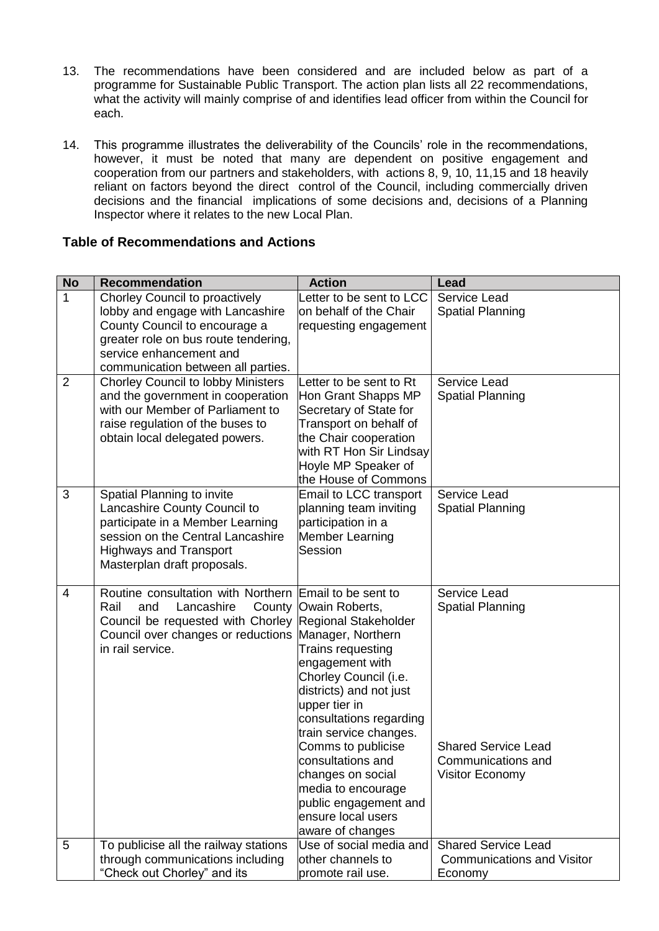- 13. The recommendations have been considered and are included below as part of a programme for Sustainable Public Transport. The action plan lists all 22 recommendations, what the activity will mainly comprise of and identifies lead officer from within the Council for each.
- 14. This programme illustrates the deliverability of the Councils' role in the recommendations, however, it must be noted that many are dependent on positive engagement and cooperation from our partners and stakeholders, with actions 8, 9, 10, 11,15 and 18 heavily reliant on factors beyond the direct control of the Council, including commercially driven decisions and the financial implications of some decisions and, decisions of a Planning Inspector where it relates to the new Local Plan.

# **Table of Recommendations and Actions**

| <b>No</b>      | <b>Recommendation</b>                                                                                                                                                                                                     | <b>Action</b>                                                                                                                                                                                                                                                                                                                                      | Lead                                                                                                           |
|----------------|---------------------------------------------------------------------------------------------------------------------------------------------------------------------------------------------------------------------------|----------------------------------------------------------------------------------------------------------------------------------------------------------------------------------------------------------------------------------------------------------------------------------------------------------------------------------------------------|----------------------------------------------------------------------------------------------------------------|
| $\mathbf{1}$   | Chorley Council to proactively<br>lobby and engage with Lancashire<br>County Council to encourage a<br>greater role on bus route tendering,<br>service enhancement and<br>communication between all parties.              | Letter to be sent to LCC<br>on behalf of the Chair<br>requesting engagement                                                                                                                                                                                                                                                                        | Service Lead<br><b>Spatial Planning</b>                                                                        |
| $\overline{2}$ | <b>Chorley Council to lobby Ministers</b><br>and the government in cooperation<br>with our Member of Parliament to<br>raise regulation of the buses to<br>obtain local delegated powers.                                  | Letter to be sent to Rt<br>Hon Grant Shapps MP<br>Secretary of State for<br>Transport on behalf of<br>the Chair cooperation<br>with RT Hon Sir Lindsay<br>Hoyle MP Speaker of<br>the House of Commons                                                                                                                                              | Service Lead<br><b>Spatial Planning</b>                                                                        |
| 3              | Spatial Planning to invite<br>Lancashire County Council to<br>participate in a Member Learning<br>session on the Central Lancashire<br><b>Highways and Transport</b><br>Masterplan draft proposals.                       | Email to LCC transport<br>planning team inviting<br>participation in a<br><b>Member Learning</b><br>Session                                                                                                                                                                                                                                        | Service Lead<br><b>Spatial Planning</b>                                                                        |
| 4              | Routine consultation with Northern Email to be sent to<br>Rail<br>and<br>Lancashire<br>Council be requested with Chorley Regional Stakeholder<br>Council over changes or reductions Manager, Northern<br>in rail service. | County   Owain Roberts,<br>Trains requesting<br>engagement with<br>Chorley Council (i.e.<br>districts) and not just<br>upper tier in<br>consultations regarding<br>train service changes.<br>Comms to publicise<br>consultations and<br>changes on social<br>media to encourage<br>public engagement and<br>ensure local users<br>aware of changes | Service Lead<br><b>Spatial Planning</b><br><b>Shared Service Lead</b><br>Communications and<br>Visitor Economy |
| 5              | To publicise all the railway stations<br>through communications including<br>"Check out Chorley" and its                                                                                                                  | Use of social media and<br>other channels to<br>promote rail use.                                                                                                                                                                                                                                                                                  | <b>Shared Service Lead</b><br><b>Communications and Visitor</b><br>Economy                                     |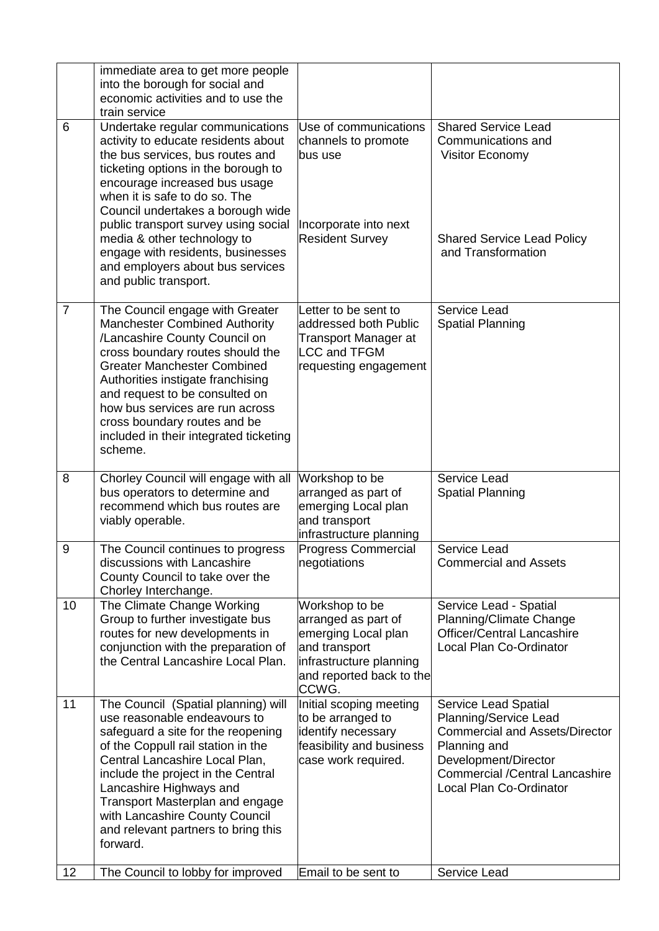|                | immediate area to get more people<br>into the borough for social and<br>economic activities and to use the<br>train service                                                                                                                                                                                                                                                                                                        |                                                                                                                                               |                                                                                                                                                                                                                    |
|----------------|------------------------------------------------------------------------------------------------------------------------------------------------------------------------------------------------------------------------------------------------------------------------------------------------------------------------------------------------------------------------------------------------------------------------------------|-----------------------------------------------------------------------------------------------------------------------------------------------|--------------------------------------------------------------------------------------------------------------------------------------------------------------------------------------------------------------------|
| 6              | Undertake regular communications<br>activity to educate residents about<br>the bus services, bus routes and<br>ticketing options in the borough to<br>encourage increased bus usage<br>when it is safe to do so. The<br>Council undertakes a borough wide<br>public transport survey using social<br>media & other technology to<br>engage with residents, businesses<br>and employers about bus services<br>and public transport. | Use of communications<br>channels to promote<br>bus use<br>Incorporate into next<br><b>Resident Survey</b>                                    | <b>Shared Service Lead</b><br>Communications and<br><b>Visitor Economy</b><br><b>Shared Service Lead Policy</b><br>and Transformation                                                                              |
| $\overline{7}$ | The Council engage with Greater<br><b>Manchester Combined Authority</b><br>/Lancashire County Council on<br>cross boundary routes should the<br><b>Greater Manchester Combined</b><br>Authorities instigate franchising<br>and request to be consulted on<br>how bus services are run across<br>cross boundary routes and be<br>included in their integrated ticketing<br>scheme.                                                  | Letter to be sent to<br>addressed both Public<br><b>Transport Manager at</b><br>LCC and TFGM<br>requesting engagement                         | Service Lead<br><b>Spatial Planning</b>                                                                                                                                                                            |
| 8              | Chorley Council will engage with all<br>bus operators to determine and<br>recommend which bus routes are<br>viably operable.                                                                                                                                                                                                                                                                                                       | Workshop to be<br>arranged as part of<br>emerging Local plan<br>and transport<br>infrastructure planning                                      | Service Lead<br><b>Spatial Planning</b>                                                                                                                                                                            |
|                |                                                                                                                                                                                                                                                                                                                                                                                                                                    |                                                                                                                                               |                                                                                                                                                                                                                    |
| 9              | The Council continues to progress<br>discussions with Lancashire<br>County Council to take over the<br>Chorley Interchange.                                                                                                                                                                                                                                                                                                        | <b>Progress Commercial</b><br>negotiations                                                                                                    | Service Lead<br><b>Commercial and Assets</b>                                                                                                                                                                       |
| 10             | The Climate Change Working<br>Group to further investigate bus<br>routes for new developments in<br>conjunction with the preparation of<br>the Central Lancashire Local Plan.                                                                                                                                                                                                                                                      | Workshop to be<br>arranged as part of<br>emerging Local plan<br>and transport<br>infrastructure planning<br>and reported back to the<br>CCWG. | Service Lead - Spatial<br>Planning/Climate Change<br><b>Officer/Central Lancashire</b><br>Local Plan Co-Ordinator                                                                                                  |
| 11<br>12       | The Council (Spatial planning) will<br>use reasonable endeavours to<br>safeguard a site for the reopening<br>of the Coppull rail station in the<br>Central Lancashire Local Plan,<br>include the project in the Central<br>Lancashire Highways and<br>Transport Masterplan and engage<br>with Lancashire County Council<br>and relevant partners to bring this<br>forward.<br>The Council to lobby for improved                    | Initial scoping meeting<br>to be arranged to<br>identify necessary<br>feasibility and business<br>case work required.<br>Email to be sent to  | Service Lead Spatial<br>Planning/Service Lead<br><b>Commercial and Assets/Director</b><br>Planning and<br>Development/Director<br><b>Commercial /Central Lancashire</b><br>Local Plan Co-Ordinator<br>Service Lead |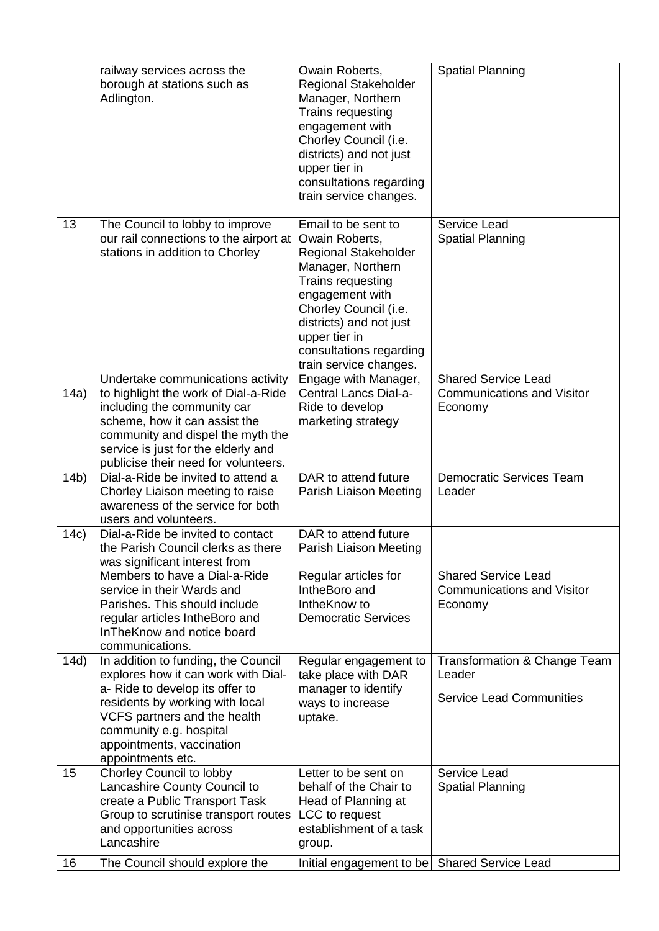|                 | railway services across the<br>borough at stations such as<br>Adlington.                                                                                                                                                                                                                    | Owain Roberts,<br><b>Regional Stakeholder</b><br>Manager, Northern<br>Trains requesting<br>engagement with<br>Chorley Council (i.e.<br>districts) and not just<br>upper tier in<br>consultations regarding<br>train service changes.                        | <b>Spatial Planning</b>                                                    |
|-----------------|---------------------------------------------------------------------------------------------------------------------------------------------------------------------------------------------------------------------------------------------------------------------------------------------|-------------------------------------------------------------------------------------------------------------------------------------------------------------------------------------------------------------------------------------------------------------|----------------------------------------------------------------------------|
| 13              | The Council to lobby to improve<br>our rail connections to the airport at<br>stations in addition to Chorley                                                                                                                                                                                | Email to be sent to<br>Owain Roberts,<br><b>Regional Stakeholder</b><br>Manager, Northern<br>Trains requesting<br>engagement with<br>Chorley Council (i.e.<br>districts) and not just<br>upper tier in<br>consultations regarding<br>train service changes. | Service Lead<br><b>Spatial Planning</b>                                    |
| 14a)            | Undertake communications activity<br>to highlight the work of Dial-a-Ride<br>including the community car<br>scheme, how it can assist the<br>community and dispel the myth the<br>service is just for the elderly and<br>publicise their need for volunteers.                               | Engage with Manager,<br>Central Lancs Dial-a-<br>Ride to develop<br>marketing strategy                                                                                                                                                                      | <b>Shared Service Lead</b><br><b>Communications and Visitor</b><br>Economy |
| 14 <sub>b</sub> | Dial-a-Ride be invited to attend a<br>Chorley Liaison meeting to raise<br>awareness of the service for both<br>users and volunteers.                                                                                                                                                        | DAR to attend future<br>Parish Liaison Meeting                                                                                                                                                                                                              | <b>Democratic Services Team</b><br>Leader                                  |
| 14c)            | Dial-a-Ride be invited to contact<br>the Parish Council clerks as there<br>was significant interest from<br>Members to have a Dial-a-Ride<br>service in their Wards and<br>Parishes. This should include<br>regular articles IntheBoro and<br>InTheKnow and notice board<br>communications. | DAR to attend future<br>Parish Liaison Meeting<br>Regular articles for<br>IntheBoro and<br>IntheKnow to<br><b>Democratic Services</b>                                                                                                                       | <b>Shared Service Lead</b><br><b>Communications and Visitor</b><br>Economy |
| 14d)            | In addition to funding, the Council<br>explores how it can work with Dial-<br>a- Ride to develop its offer to<br>residents by working with local<br>VCFS partners and the health<br>community e.g. hospital<br>appointments, vaccination<br>appointments etc.                               | Regular engagement to<br>take place with DAR<br>manager to identify<br>ways to increase<br>uptake.                                                                                                                                                          | Transformation & Change Team<br>Leader<br><b>Service Lead Communities</b>  |
| 15              | Chorley Council to lobby<br>Lancashire County Council to<br>create a Public Transport Task<br>Group to scrutinise transport routes<br>and opportunities across<br>Lancashire                                                                                                                | Letter to be sent on<br>behalf of the Chair to<br>Head of Planning at<br>LCC to request<br>establishment of a task<br>group.                                                                                                                                | Service Lead<br><b>Spatial Planning</b>                                    |
| 16              | The Council should explore the                                                                                                                                                                                                                                                              | Initial engagement to be   Shared Service Lead                                                                                                                                                                                                              |                                                                            |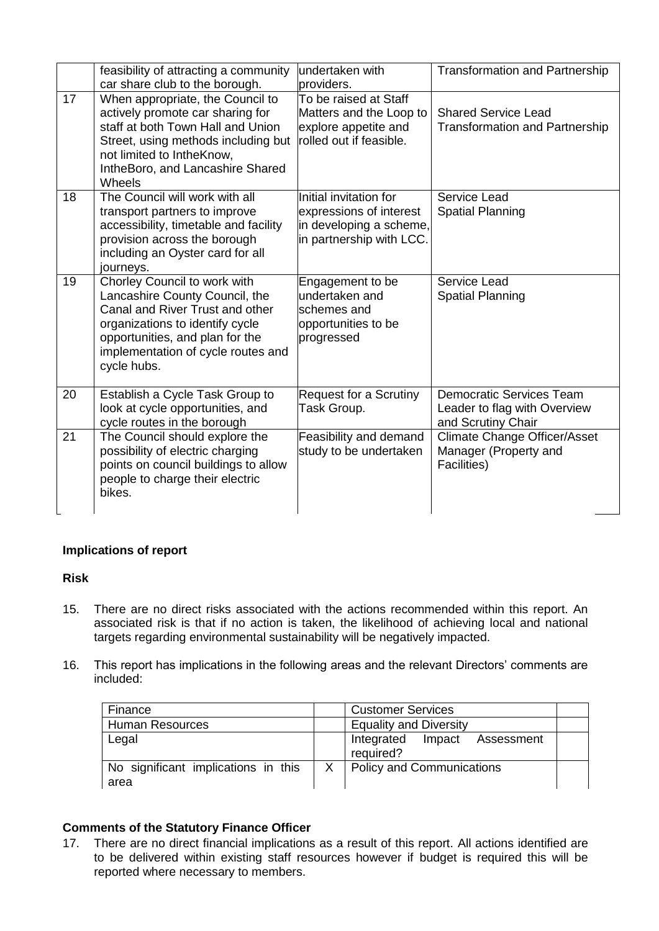|    | feasibility of attracting a community<br>car share club to the borough.                                                                                                                                                      | undertaken with<br>providers.                                                                            | <b>Transformation and Partnership</b>                                                 |
|----|------------------------------------------------------------------------------------------------------------------------------------------------------------------------------------------------------------------------------|----------------------------------------------------------------------------------------------------------|---------------------------------------------------------------------------------------|
| 17 | When appropriate, the Council to<br>actively promote car sharing for<br>staff at both Town Hall and Union<br>Street, using methods including but<br>not limited to IntheKnow,<br>IntheBoro, and Lancashire Shared<br>Wheels  | To be raised at Staff<br>Matters and the Loop to<br>explore appetite and<br>rolled out if feasible.      | <b>Shared Service Lead</b><br><b>Transformation and Partnership</b>                   |
| 18 | The Council will work with all<br>transport partners to improve<br>accessibility, timetable and facility<br>provision across the borough<br>including an Oyster card for all<br>journeys.                                    | Initial invitation for<br>expressions of interest<br>in developing a scheme,<br>in partnership with LCC. | Service Lead<br><b>Spatial Planning</b>                                               |
| 19 | Chorley Council to work with<br>Lancashire County Council, the<br>Canal and River Trust and other<br>organizations to identify cycle<br>opportunities, and plan for the<br>implementation of cycle routes and<br>cycle hubs. | Engagement to be<br>undertaken and<br>schemes and<br>opportunities to be<br>progressed                   | Service Lead<br><b>Spatial Planning</b>                                               |
| 20 | Establish a Cycle Task Group to<br>look at cycle opportunities, and<br>cycle routes in the borough                                                                                                                           | Request for a Scrutiny<br>Task Group.                                                                    | <b>Democratic Services Team</b><br>Leader to flag with Overview<br>and Scrutiny Chair |
| 21 | The Council should explore the<br>possibility of electric charging<br>points on council buildings to allow<br>people to charge their electric<br>bikes.                                                                      | Feasibility and demand<br>study to be undertaken                                                         | <b>Climate Change Officer/Asset</b><br>Manager (Property and<br>Facilities)           |

# **Implications of report**

#### **Risk**

- 15. There are no direct risks associated with the actions recommended within this report. An associated risk is that if no action is taken, the likelihood of achieving local and national targets regarding environmental sustainability will be negatively impacted.
- 16. This report has implications in the following areas and the relevant Directors' comments are included:

| Finance                                     |              | <b>Customer Services</b>                     |  |
|---------------------------------------------|--------------|----------------------------------------------|--|
| <b>Human Resources</b>                      |              | <b>Equality and Diversity</b>                |  |
| Legal                                       |              | Integrated<br>Impact Assessment<br>required? |  |
| No significant implications in this<br>area | $\mathsf{X}$ | <b>Policy and Communications</b>             |  |

## **Comments of the Statutory Finance Officer**

17. There are no direct financial implications as a result of this report. All actions identified are to be delivered within existing staff resources however if budget is required this will be reported where necessary to members.